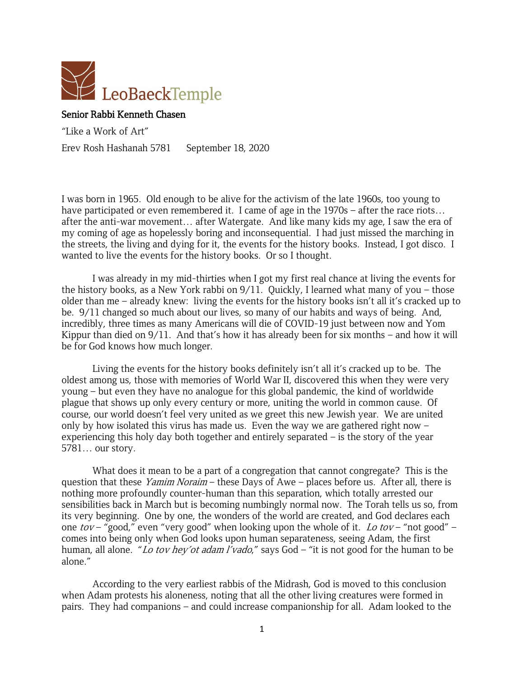

## Senior Rabbi Kenneth Chasen

"Like a Work of Art"

Erev Rosh Hashanah 5781 September 18, 2020

I was born in 1965. Old enough to be alive for the activism of the late 1960s, too young to have participated or even remembered it. I came of age in the 1970s – after the race riots... after the anti-war movement… after Watergate. And like many kids my age, I saw the era of my coming of age as hopelessly boring and inconsequential. I had just missed the marching in the streets, the living and dying for it, the events for the history books. Instead, I got disco. I wanted to live the events for the history books. Or so I thought.

I was already in my mid-thirties when I got my first real chance at living the events for the history books, as a New York rabbi on 9/11. Quickly, I learned what many of you – those older than me – already knew: living the events for the history books isn't all it's cracked up to be. 9/11 changed so much about our lives, so many of our habits and ways of being. And, incredibly, three times as many Americans will die of COVID-19 just between now and Yom Kippur than died on 9/11. And that's how it has already been for six months – and how it will be for God knows how much longer.

Living the events for the history books definitely isn't all it's cracked up to be. The oldest among us, those with memories of World War II, discovered this when they were very young – but even they have no analogue for this global pandemic, the kind of worldwide plague that shows up only every century or more, uniting the world in common cause. Of course, our world doesn't feel very united as we greet this new Jewish year. We are united only by how isolated this virus has made us. Even the way we are gathered right now – experiencing this holy day both together and entirely separated – is the story of the year 5781… our story.

What does it mean to be a part of a congregation that cannot congregate? This is the question that these *Yamim Noraim* – these Days of Awe – places before us. After all, there is nothing more profoundly counter-human than this separation, which totally arrested our sensibilities back in March but is becoming numbingly normal now. The Torah tells us so, from its very beginning. One by one, the wonders of the world are created, and God declares each one tov – "good," even "very good" when looking upon the whole of it. Lo tov – "not good" – comes into being only when God looks upon human separateness, seeing Adam, the first human, all alone. "Lo tov hey'ot adam l'vado," says God – "it is not good for the human to be alone."

According to the very earliest rabbis of the Midrash, God is moved to this conclusion when Adam protests his aloneness, noting that all the other living creatures were formed in pairs. They had companions – and could increase companionship for all. Adam looked to the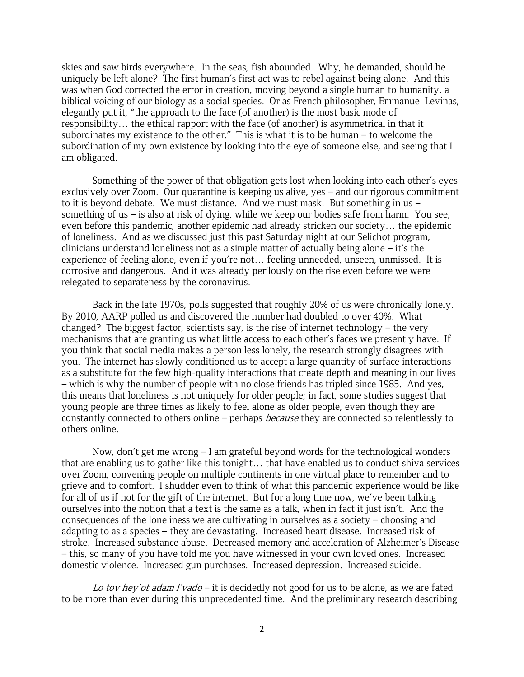skies and saw birds everywhere. In the seas, fish abounded. Why, he demanded, should he uniquely be left alone? The first human's first act was to rebel against being alone. And this was when God corrected the error in creation, moving beyond a single human to humanity, a biblical voicing of our biology as a social species. Or as French philosopher, Emmanuel Levinas, elegantly put it, "the approach to the face (of another) is the most basic mode of responsibility… the ethical rapport with the face (of another) is asymmetrical in that it subordinates my existence to the other." This is what it is to be human – to welcome the subordination of my own existence by looking into the eye of someone else, and seeing that I am obligated.

Something of the power of that obligation gets lost when looking into each other's eyes exclusively over Zoom. Our quarantine is keeping us alive, yes – and our rigorous commitment to it is beyond debate. We must distance. And we must mask. But something in us – something of us – is also at risk of dying, while we keep our bodies safe from harm. You see, even before this pandemic, another epidemic had already stricken our society… the epidemic of loneliness. And as we discussed just this past Saturday night at our Selichot program, clinicians understand loneliness not as a simple matter of actually being alone – it's the experience of feeling alone, even if you're not… feeling unneeded, unseen, unmissed. It is corrosive and dangerous. And it was already perilously on the rise even before we were relegated to separateness by the coronavirus.

Back in the late 1970s, polls suggested that roughly 20% of us were chronically lonely. By 2010, AARP polled us and discovered the number had doubled to over 40%. What changed? The biggest factor, scientists say, is the rise of internet technology – the very mechanisms that are granting us what little access to each other's faces we presently have. If you think that social media makes a person less lonely, the research strongly disagrees with you. The internet has slowly conditioned us to accept a large quantity of surface interactions as a substitute for the few high-quality interactions that create depth and meaning in our lives – which is why the number of people with no close friends has tripled since 1985. And yes, this means that loneliness is not uniquely for older people; in fact, some studies suggest that young people are three times as likely to feel alone as older people, even though they are constantly connected to others online – perhaps *because* they are connected so relentlessly to others online.

Now, don't get me wrong  $-1$  am grateful beyond words for the technological wonders that are enabling us to gather like this tonight… that have enabled us to conduct shiva services over Zoom, convening people on multiple continents in one virtual place to remember and to grieve and to comfort. I shudder even to think of what this pandemic experience would be like for all of us if not for the gift of the internet. But for a long time now, we've been talking ourselves into the notion that a text is the same as a talk, when in fact it just isn't. And the consequences of the loneliness we are cultivating in ourselves as a society – choosing and adapting to as a species – they are devastating. Increased heart disease. Increased risk of stroke. Increased substance abuse. Decreased memory and acceleration of Alzheimer's Disease – this, so many of you have told me you have witnessed in your own loved ones. Increased domestic violence. Increased gun purchases. Increased depression. Increased suicide.

Lo tov hey'ot adam l'vado – it is decidedly not good for us to be alone, as we are fated to be more than ever during this unprecedented time. And the preliminary research describing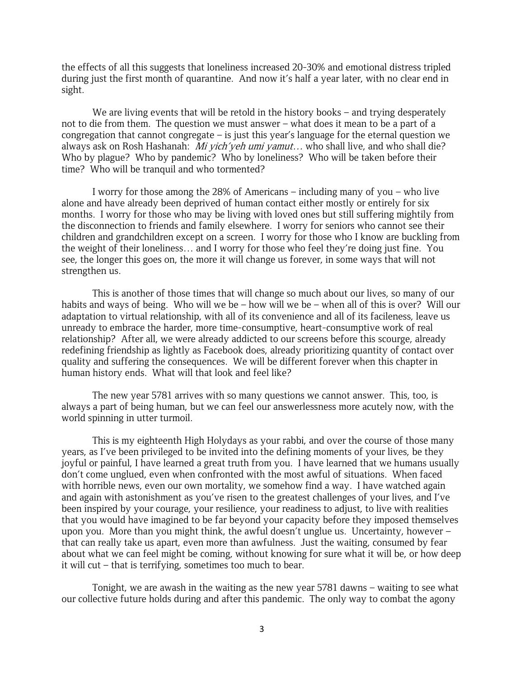the effects of all this suggests that loneliness increased 20-30% and emotional distress tripled during just the first month of quarantine. And now it's half a year later, with no clear end in sight.

We are living events that will be retold in the history books – and trying desperately not to die from them. The question we must answer – what does it mean to be a part of a congregation that cannot congregate – is just this year's language for the eternal question we always ask on Rosh Hashanah: *Mi yich'yeh umi yamut...* who shall live, and who shall die? Who by plague? Who by pandemic? Who by loneliness? Who will be taken before their time? Who will be tranquil and who tormented?

I worry for those among the 28% of Americans – including many of you – who live alone and have already been deprived of human contact either mostly or entirely for six months. I worry for those who may be living with loved ones but still suffering mightily from the disconnection to friends and family elsewhere. I worry for seniors who cannot see their children and grandchildren except on a screen. I worry for those who I know are buckling from the weight of their loneliness… and I worry for those who feel they're doing just fine. You see, the longer this goes on, the more it will change us forever, in some ways that will not strengthen us.

This is another of those times that will change so much about our lives, so many of our habits and ways of being. Who will we be – how will we be – when all of this is over? Will our adaptation to virtual relationship, with all of its convenience and all of its facileness, leave us unready to embrace the harder, more time-consumptive, heart-consumptive work of real relationship? After all, we were already addicted to our screens before this scourge, already redefining friendship as lightly as Facebook does, already prioritizing quantity of contact over quality and suffering the consequences. We will be different forever when this chapter in human history ends. What will that look and feel like?

The new year 5781 arrives with so many questions we cannot answer. This, too, is always a part of being human, but we can feel our answerlessness more acutely now, with the world spinning in utter turmoil.

This is my eighteenth High Holydays as your rabbi, and over the course of those many years, as I've been privileged to be invited into the defining moments of your lives, be they joyful or painful, I have learned a great truth from you. I have learned that we humans usually don't come unglued, even when confronted with the most awful of situations. When faced with horrible news, even our own mortality, we somehow find a way. I have watched again and again with astonishment as you've risen to the greatest challenges of your lives, and I've been inspired by your courage, your resilience, your readiness to adjust, to live with realities that you would have imagined to be far beyond your capacity before they imposed themselves upon you. More than you might think, the awful doesn't unglue us. Uncertainty, however – that can really take us apart, even more than awfulness. Just the waiting, consumed by fear about what we can feel might be coming, without knowing for sure what it will be, or how deep it will cut – that is terrifying, sometimes too much to bear.

Tonight, we are awash in the waiting as the new year 5781 dawns – waiting to see what our collective future holds during and after this pandemic. The only way to combat the agony